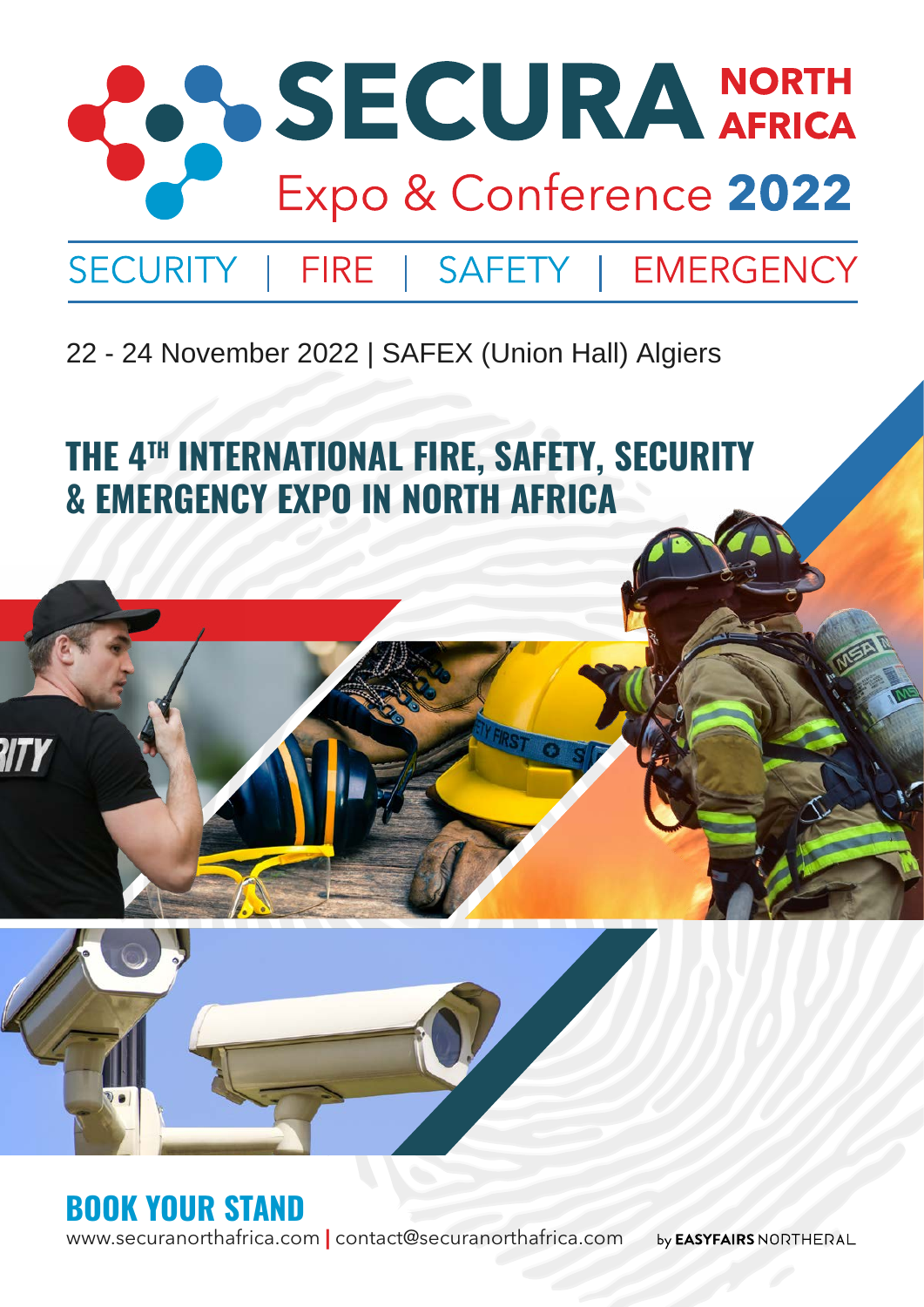

### 22 - 24 November 2022 | SAFEX (Union Hall) Algiers

**THE 4TH INTERNATIONAL FIRE, SAFETY, SECURITY & EMERGENCY EXPO IN NORTH AFRICA** 



www.securanorthafrica.com **|** contact@securanorthafrica.com by **EASYFAIRS** NORTHERAL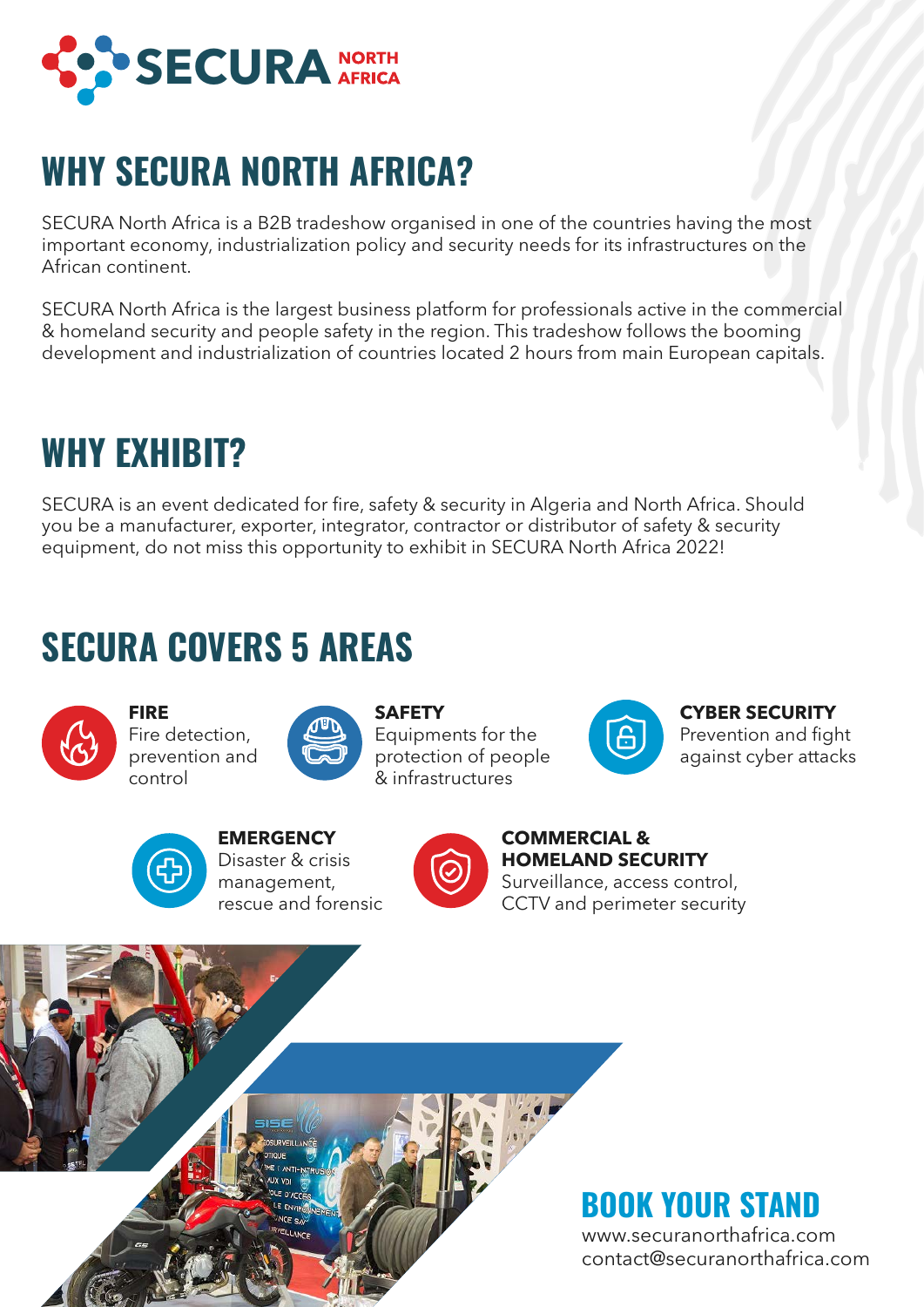

## **WHY SECURA NORTH AFRICA?**

SECURA North Africa is a B2B tradeshow organised in one of the countries having the most important economy, industrialization policy and security needs for its infrastructures on the African continent.

SECURA North Africa is the largest business platform for professionals active in the commercial & homeland security and people safety in the region. This tradeshow follows the booming development and industrialization of countries located 2 hours from main European capitals.

## **WHY EXHIBIT?**

SECURA is an event dedicated for fire, safety & security in Algeria and North Africa. Should you be a manufacturer, exporter, integrator, contractor or distributor of safety & security equipment, do not miss this opportunity to exhibit in SECURA North Africa 2022!

### **SECURA COVERS 5 AREAS**



**FIRE** Fire detection, prevention and control



**SAFETY** Equipments for the protection of people & infrastructures



**CYBER SECURITY** Prevention and fight against cyber attacks



**EMERGENCY** Disaster & crisis management, rescue and forensic



**COMMERCIAL & HOMELAND SECURITY** Surveillance, access control, CCTV and perimeter security

### **BOOK YOUR STAND**

www.securanorthafrica.com contact@securanorthafrica.com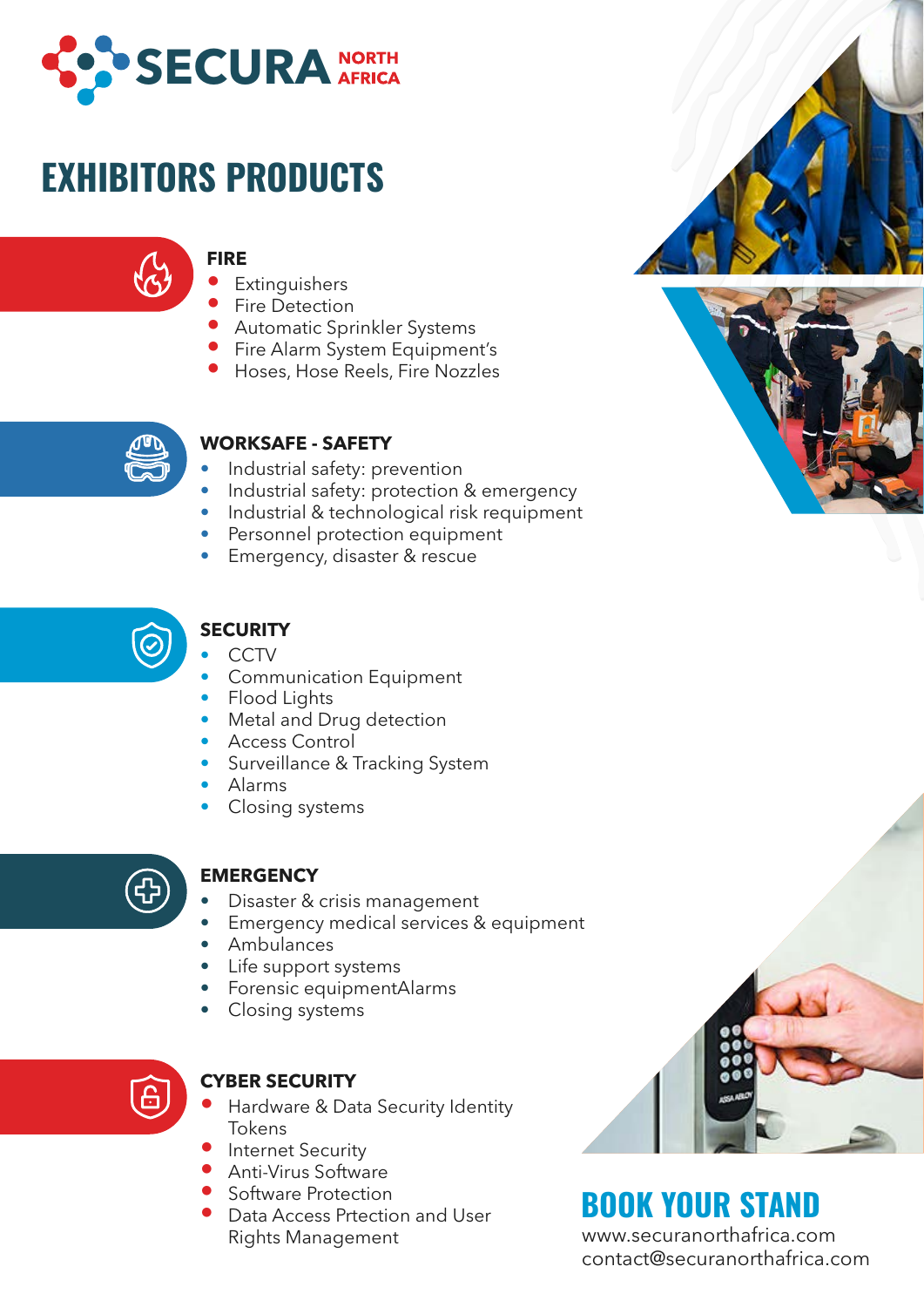

# **EXHIBITORS PRODUCTS**

#### **FIRE**

- **Extinguishers**
- Fire Detection
- Automatic Sprinkler Systems
- **•** Fire Alarm System Equipment's
- Hoses, Hose Reels, Fire Nozzles



#### **WORKSAFE - SAFETY**

- Industrial safety: prevention
- Industrial safety: protection & emergency
- Industrial & technological risk requipment
- Personnel protection equipment
- Emergency, disaster & rescue



### **SECURITY**

- CCTV
- **Communication Equipment**
- Flood Lights
- Metal and Drug detection
- Access Control
- Surveillance & Tracking System
- Alarms
- Closing systems



#### **EMERGENCY**

- Disaster & crisis management
- Emergency medical services & equipment
- Ambulances
- Life support systems
- Forensic equipmentAlarms
- Closing systems



#### **CYBER SECURITY**

- Hardware & Data Security Identity Tokens
- **Internet Security**
- Anti-Virus Software
- Software Protection
- Data Access Prtection and User Rights Management



### **BOOK YOUR STAND**

www.securanorthafrica.com contact@securanorthafrica.com